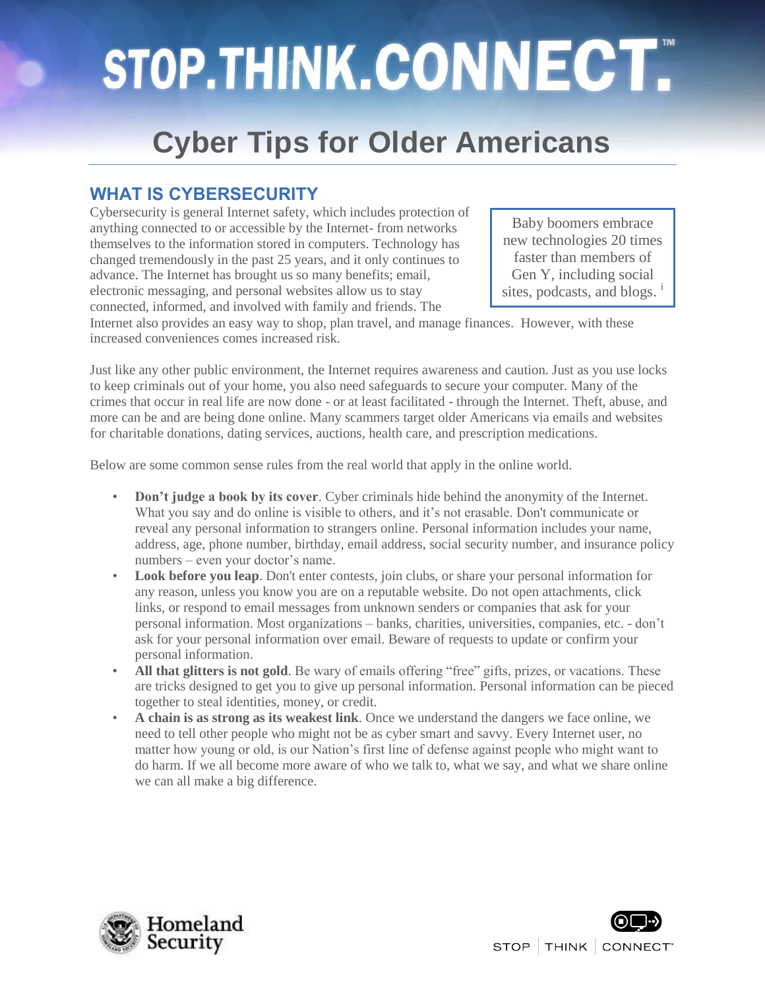# STOP.THINK.CONNECT.

### **Cyber Tips for Older Americans**

#### **WHAT IS CYBERSECURITY**

Cybersecurity is general Internet safety, which includes protection of anything connected to or accessible by the Internet- from networks themselves to the information stored in computers. Technology has changed tremendously in the past 25 years, and it only continues to advance. The Internet has brought us so many benefits; email, electronic messaging, and personal websites allow us to stay connected, informed, and involved with family and friends. The

Baby boomers embrace new technologies 20 times faster than members of Gen Y, including social sites, podcasts, and blogs.<sup>i</sup>

Internet also provides an easy way to shop, plan travel, and manage finances. However, with these increased conveniences comes increased risk.

Just like any other public environment, the Internet requires awareness and caution. Just as you use locks to keep criminals out of your home, you also need safeguards to secure your computer. Many of the crimes that occur in real life are now done - or at least facilitated - through the Internet. Theft, abuse, and more can be and are being done online. Many scammers target older Americans via emails and websites for charitable donations, dating services, auctions, health care, and prescription medications.

Below are some common sense rules from the real world that apply in the online world.

- **Don't judge a book by its cover**. Cyber criminals hide behind the anonymity of the Internet. What you say and do online is visible to others, and it's not erasable. Don't communicate or reveal any personal information to strangers online. Personal information includes your name, address, age, phone number, birthday, email address, social security number, and insurance policy numbers – even your doctor's name.
- **Look before you leap**. Don't enter contests, join clubs, or share your personal information for any reason, unless you know you are on a reputable website. Do not open attachments, click links, or respond to email messages from unknown senders or companies that ask for your personal information. Most organizations – banks, charities, universities, companies, etc. - don't ask for your personal information over email. Beware of requests to update or confirm your personal information.
- All that glitters is not gold. Be wary of emails offering "free" gifts, prizes, or vacations. These are tricks designed to get you to give up personal information. Personal information can be pieced together to steal identities, money, or credit.
- **A chain is as strong as its weakest link**. Once we understand the dangers we face online, we need to tell other people who might not be as cyber smart and savvy. Every Internet user, no matter how young or old, is our Nation's first line of defense against people who might want to do harm. If we all become more aware of who we talk to, what we say, and what we share online we can all make a big difference.